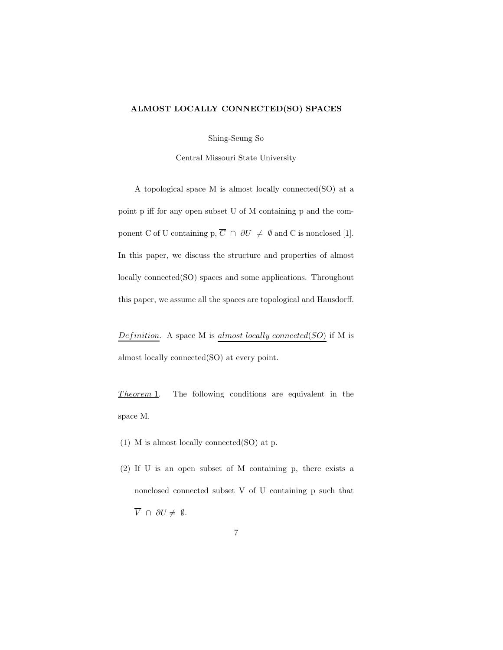## ALMOST LOCALLY CONNECTED(SO) SPACES

Shing-Seung So

Central Missouri State University

A topological space M is almost locally connected(SO) at a point p iff for any open subset U of M containing p and the component C of U containing p,  $\overline{C} \cap \partial U \neq \emptyset$  and C is nonclosed [1]. In this paper, we discuss the structure and properties of almost locally connected(SO) spaces and some applications. Throughout this paper, we assume all the spaces are topological and Hausdorff.

Definition. A space M is almost locally connected( $SO$ ) if M is almost locally connected(SO) at every point.

 $Theorem 1$ . The following conditions are equivalent in the space M.

- (1) M is almost locally connected(SO) at p.
- (2) If U is an open subset of M containing p, there exists a nonclosed connected subset V of U containing p such that  $\overline{V} \cap \partial U \neq \emptyset$ .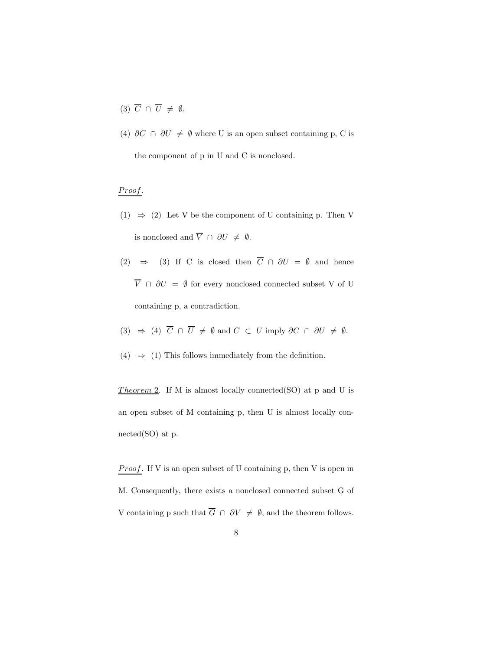- (3)  $\overline{C} \cap \overline{U} \neq \emptyset$ .
- (4)  $\partial C \cap \partial U \neq \emptyset$  where U is an open subset containing p, C is the component of p in U and C is nonclosed.

## Proof.

- $(1) \Rightarrow (2)$  Let V be the component of U containing p. Then V is nonclosed and  $\overline{V} \cap \partial U \neq \emptyset$ .
- (2)  $\Rightarrow$  (3) If C is closed then  $\overline{C} \cap \partial U = \emptyset$  and hence  $\overline{V} \;\cap\; \partial U \;=\; \emptyset$  for every nonclosed connected subset V of U containing p, a contradiction.
- (3)  $\Rightarrow$  (4)  $\overline{C} \cap \overline{U} \neq \emptyset$  and  $C \subset U$  imply  $\partial C \cap \partial U \neq \emptyset$ .
- (4)  $\Rightarrow$  (1) This follows immediately from the definition.

Theorem 2. If M is almost locally connected(SO) at p and U is an open subset of M containing p, then U is almost locally connected(SO) at p.

**Proof.** If V is an open subset of U containing p, then V is open in M. Consequently, there exists a nonclosed connected subset G of V containing p such that  $\overline{G} \cap \partial V \neq \emptyset$ , and the theorem follows.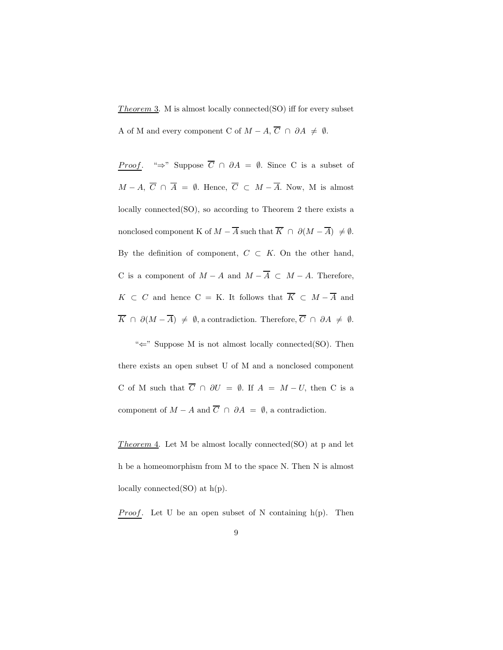Theorem 3. M is almost locally connected(SO) iff for every subset A of M and every component C of  $M - A$ ,  $\overline{C} \cap \partial A \neq \emptyset$ .

*Proof.* "⇒" Suppose  $\overline{C} \cap \partial A = \emptyset$ . Since C is a subset of  $M - A$ ,  $\overline{C} \cap \overline{A} = \emptyset$ . Hence,  $\overline{C} \subset M - \overline{A}$ . Now, M is almost locally connected(SO), so according to Theorem 2 there exists a nonclosed component K of  $M - \overline{A}$  such that  $\overline{K} \cap \partial (M - \overline{A}) \neq \emptyset$ . By the definition of component,  $C \subset K$ . On the other hand, C is a component of  $M - A$  and  $M - \overline{A} \subset M - A$ . Therefore,  $K \subset C$  and hence C = K. It follows that  $\overline{K} \subset M - \overline{A}$  and  $\overline{K} \cap \partial (M - \overline{A}) \neq \emptyset$ , a contradiction. Therefore,  $\overline{C} \cap \partial A \neq \emptyset$ .

"⇐" Suppose M is not almost locally connected(SO). Then there exists an open subset U of M and a nonclosed component C of M such that  $\overline{C} \cap \partial U = \emptyset$ . If  $A = M - U$ , then C is a component of  $M - A$  and  $\overline{C} \cap \partial A = \emptyset$ , a contradiction.

Theorem 4. Let M be almost locally connected(SO) at p and let h be a homeomorphism from M to the space N. Then N is almost locally connected(SO) at  $h(p)$ .

*Proof.* Let U be an open subset of N containing  $h(p)$ . Then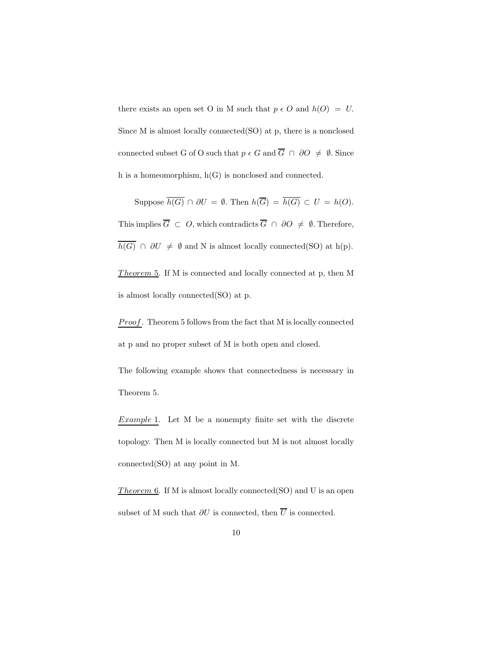there exists an open set O in M such that  $p \in O$  and  $h(O) = U$ . Since M is almost locally connected(SO) at p, there is a nonclosed connected subset G of O such that  $p \in G$  and  $\overline{G} \cap \partial O \neq \emptyset$ . Since h is a homeomorphism, h(G) is nonclosed and connected.

Suppose  $\overline{h(G)} \cap \partial U = \emptyset$ . Then  $h(\overline{G}) = \overline{h(G)} \subset U = h(O)$ . This implies  $\overline{G} \subset O$ , which contradicts  $\overline{G} \cap \partial O \neq \emptyset$ . Therefore,  $\overline{h(G)} \cap \partial U \neq \emptyset$  and N is almost locally connected(SO) at h(p).

Theorem  $5.$  If M is connected and locally connected at p, then M is almost locally connected(SO) at p.

*Proof.* Theorem 5 follows from the fact that M is locally connected at p and no proper subset of M is both open and closed.

The following example shows that connectedness is necessary in Theorem 5.

Example 1. Let M be a nonempty finite set with the discrete topology. Then M is locally connected but M is not almost locally connected(SO) at any point in M.

Theorem  $6.$  If M is almost locally connected(SO) and U is an open subset of M such that  $\partial U$  is connected, then  $\overline{U}$  is connected.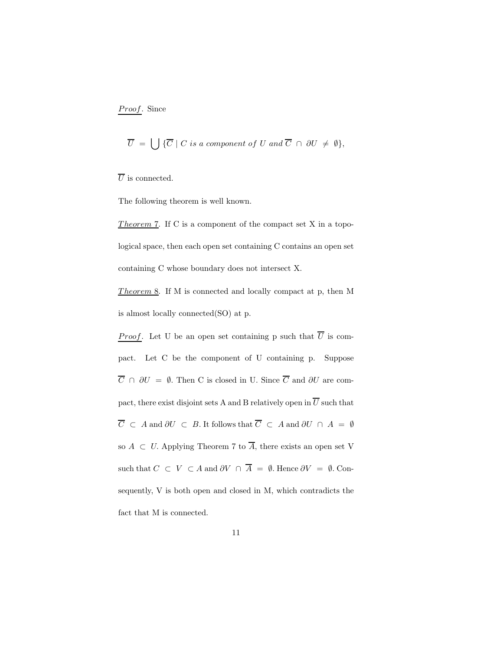Proof. Since

$$
\overline{U} = \bigcup \{ \overline{C} \mid C \text{ is a component of } U \text{ and } \overline{C} \cap \partial U \neq \emptyset \},
$$

 $\overline{U}$  is connected.

The following theorem is well known.

Theorem 7. If C is a component of the compact set X in a topological space, then each open set containing C contains an open set containing C whose boundary does not intersect X.

Theorem 8. If M is connected and locally compact at p, then M is almost locally connected(SO) at p.

*Proof.* Let U be an open set containing p such that  $\overline{U}$  is compact. Let C be the component of U containing p. Suppose  $\overline{C}$  ∩  $\partial U = \emptyset$ . Then C is closed in U. Since  $\overline{C}$  and  $\partial U$  are compact, there exist disjoint sets A and B relatively open in  $\overline{U}$  such that  $\overline{C}$  ⊂ A and  $\partial U$  ⊂ B. It follows that  $\overline{C}$  ⊂ A and  $\partial U \cap A = \emptyset$ so  $A \subset U$ . Applying Theorem 7 to  $\overline{A}$ , there exists an open set V such that  $C \subset V \subset A$  and  $\partial V \cap \overline{A} = \emptyset$ . Hence  $\partial V = \emptyset$ . Consequently, V is both open and closed in M, which contradicts the fact that M is connected.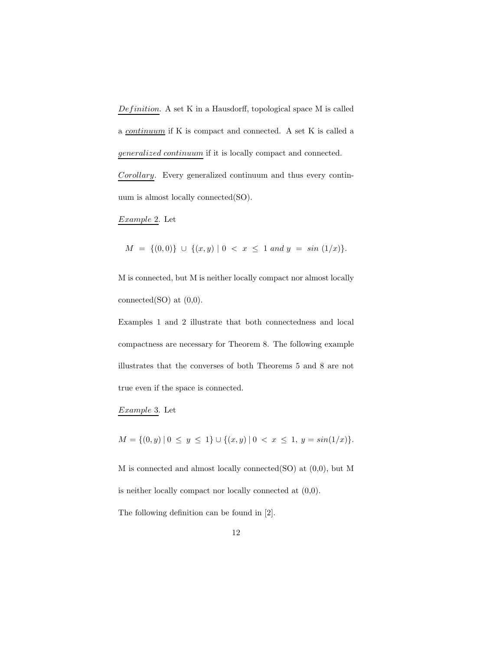$Definition. A set K in a Hausdorff, topological space M is called$ a continuum if K is compact and connected. A set K is called a generalized continuum if it is locally compact and connected.

Corollary. Every generalized continuum and thus every continuum is almost locally connected(SO).

Example 2. Let

 $M = \{(0,0)\} \cup \{(x,y) | 0 < x \leq 1 \text{ and } y = \sin(1/x)\}.$ 

M is connected, but M is neither locally compact nor almost locally connected(SO) at  $(0,0)$ .

Examples 1 and 2 illustrate that both connectedness and local compactness are necessary for Theorem 8. The following example illustrates that the converses of both Theorems 5 and 8 are not true even if the space is connected.

Example 3. Let

 $M = \{(0, y) | 0 \le y \le 1\} \cup \{(x, y) | 0 < x \le 1, y = \sin(1/x)\}.$ 

M is connected and almost locally connected(SO) at (0,0), but M is neither locally compact nor locally connected at (0,0).

The following definition can be found in [2].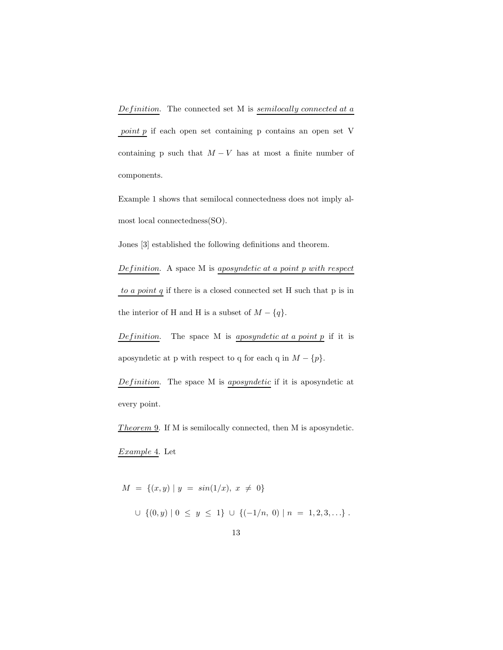point p if each open set containing p contains an open set V containing p such that  $M - V$  has at most a finite number of components.

Example 1 shows that semilocal connectedness does not imply almost local connectedness(SO).

Jones [3] established the following definitions and theorem.

Definition. A space  $M$  is aposyndetic at a point  $p$  with respect to a point  $q$  if there is a closed connected set H such that  $p$  is in the interior of H and H is a subset of  $M - \{q\}.$ 

*Definition*. The space M is *aposyndetic at a point p* if it is aposyndetic at p with respect to q for each q in  $M - \{p\}$ .

 $Definition.$  The space M is *aposyndetic* if it is aposyndetic at every point.

Theorem 9. If M is semilocally connected, then M is aposyndetic.

Example 4. Let

 $M = \{(x, y) | y = sin(1/x), x \neq 0\}$ ∪  $\{(0, y) | 0 \le y \le 1\}$  ∪  $\{(-1/n, 0) | n = 1, 2, 3, ...\}$ .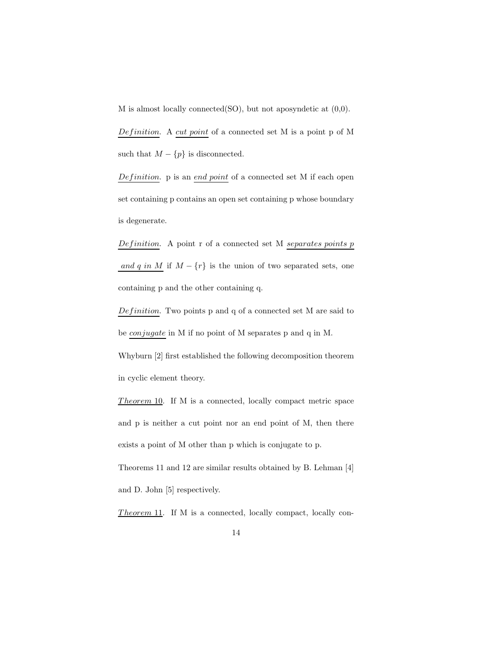M is almost locally connected(SO), but not aposyndetic at (0,0).

Definition. A cut point of a connected set M is a point p of M such that  $M-\{p\}$  is disconnected.

Definition. p is an end point of a connected set M if each open set containing p contains an open set containing p whose boundary is degenerate.

Definition. A point  $r$  of a connected set M separates points  $p$ and q in M if  $M - \{r\}$  is the union of two separated sets, one containing p and the other containing q.

 $Definition. Two points p and q of a connected set M are said to$ be conjugate in M if no point of M separates p and q in M.

Whyburn [2] first established the following decomposition theorem in cyclic element theory.

 $Theorem 10$ . If M is a connected, locally compact metric space and p is neither a cut point nor an end point of M, then there exists a point of M other than p which is conjugate to p. Theorems 11 and 12 are similar results obtained by B. Lehman [4] and D. John [5] respectively.

*Theorem* 11. If M is a connected, locally compact, locally con-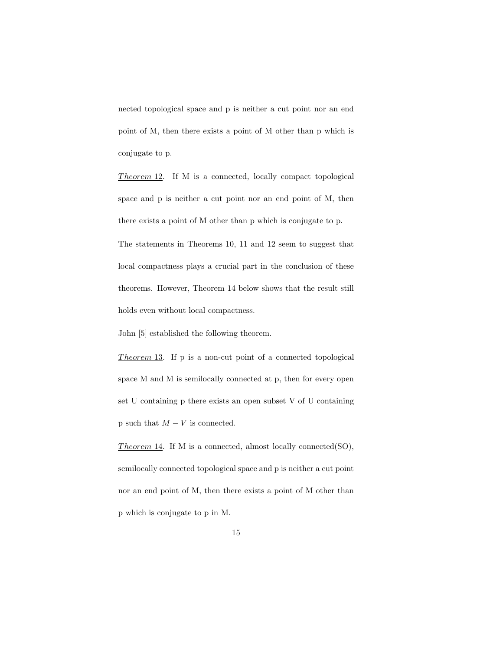nected topological space and p is neither a cut point nor an end point of M, then there exists a point of M other than p which is conjugate to p.

Theorem  $12$ . If M is a connected, locally compact topological space and p is neither a cut point nor an end point of M, then there exists a point of M other than p which is conjugate to p. The statements in Theorems 10, 11 and 12 seem to suggest that local compactness plays a crucial part in the conclusion of these

theorems. However, Theorem 14 below shows that the result still

holds even without local compactness.

John [5] established the following theorem.

Theorem 13. If p is a non-cut point of a connected topological space M and M is semilocally connected at p, then for every open set U containing p there exists an open subset V of U containing p such that  $M - V$  is connected.

Theorem 14. If M is a connected, almost locally connected(SO), semilocally connected topological space and p is neither a cut point nor an end point of M, then there exists a point of M other than p which is conjugate to p in M.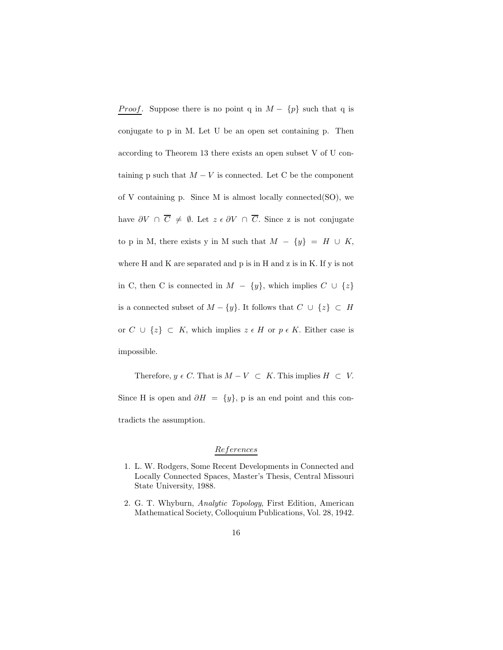*Proof.* Suppose there is no point q in  $M - \{p\}$  such that q is conjugate to p in M. Let U be an open set containing p. Then according to Theorem 13 there exists an open subset V of U containing p such that  $M - V$  is connected. Let C be the component of V containing p. Since M is almost locally connected(SO), we have  $\partial V \cap \overline{C} \neq \emptyset$ . Let  $z \in \partial V \cap \overline{C}$ . Since z is not conjugate to p in M, there exists y in M such that  $M - \{y\} = H \cup K$ , where H and K are separated and p is in H and z is in K. If y is not in C, then C is connected in  $M - \{y\}$ , which implies  $C \cup \{z\}$ is a connected subset of  $M - \{y\}$ . It follows that  $C \cup \{z\} \subset H$ or  $C \cup \{z\} \subset K$ , which implies  $z \in H$  or  $p \in K$ . Either case is impossible.

Therefore,  $y \in C$ . That is  $M - V \subset K$ . This implies  $H \subset V$ . Since H is open and  $\partial H = \{y\}$ , p is an end point and this contradicts the assumption.

## References

- 1. L. W. Rodgers, Some Recent Developments in Connected and Locally Connected Spaces, Master's Thesis, Central Missouri State University, 1988.
- 2. G. T. Whyburn, Analytic Topology, First Edition, American Mathematical Society, Colloquium Publications, Vol. 28, 1942.